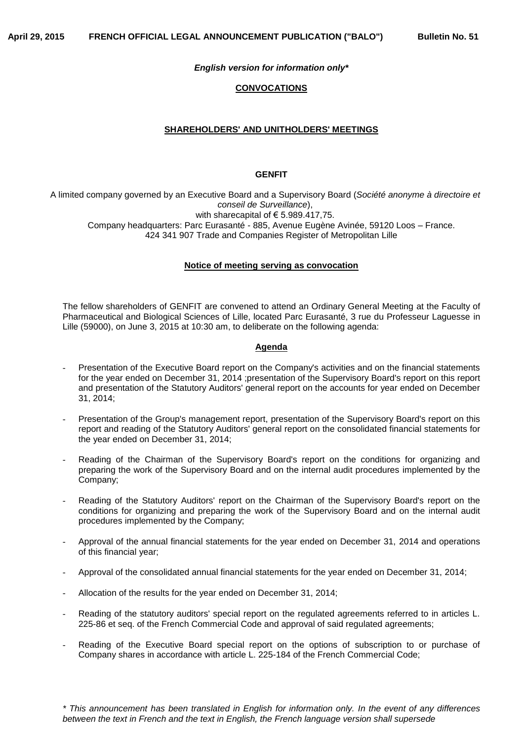### *English version for information only\**

### **CONVOCATIONS**

## **SHAREHOLDERS' AND UNITHOLDERS' MEETINGS**

### **GENFIT**

A limited company governed by an Executive Board and a Supervisory Board (*Société anonyme à directoire et conseil de Surveillance*), with sharecapital of  $\epsilon$  5.989.417,75. Company headquarters: Parc Eurasanté - 885, Avenue Eugène Avinée, 59120 Loos – France. 424 341 907 Trade and Companies Register of Metropolitan Lille

### **Notice of meeting serving as convocation**

The fellow shareholders of GENFIT are convened to attend an Ordinary General Meeting at the Faculty of Pharmaceutical and Biological Sciences of Lille, located Parc Eurasanté, 3 rue du Professeur Laguesse in Lille (59000), on June 3, 2015 at 10:30 am, to deliberate on the following agenda:

#### **Agenda**

- Presentation of the Executive Board report on the Company's activities and on the financial statements for the year ended on December 31, 2014 ;presentation of the Supervisory Board's report on this report and presentation of the Statutory Auditors' general report on the accounts for year ended on December 31, 2014;
- Presentation of the Group's management report, presentation of the Supervisory Board's report on this report and reading of the Statutory Auditors' general report on the consolidated financial statements for the year ended on December 31, 2014;
- Reading of the Chairman of the Supervisory Board's report on the conditions for organizing and preparing the work of the Supervisory Board and on the internal audit procedures implemented by the Company;
- Reading of the Statutory Auditors' report on the Chairman of the Supervisory Board's report on the conditions for organizing and preparing the work of the Supervisory Board and on the internal audit procedures implemented by the Company;
- Approval of the annual financial statements for the year ended on December 31, 2014 and operations of this financial year;
- Approval of the consolidated annual financial statements for the year ended on December 31, 2014;
- Allocation of the results for the year ended on December 31, 2014;
- Reading of the statutory auditors' special report on the regulated agreements referred to in articles L. 225-86 et seq. of the French Commercial Code and approval of said regulated agreements;
- Reading of the Executive Board special report on the options of subscription to or purchase of Company shares in accordance with article L. 225-184 of the French Commercial Code;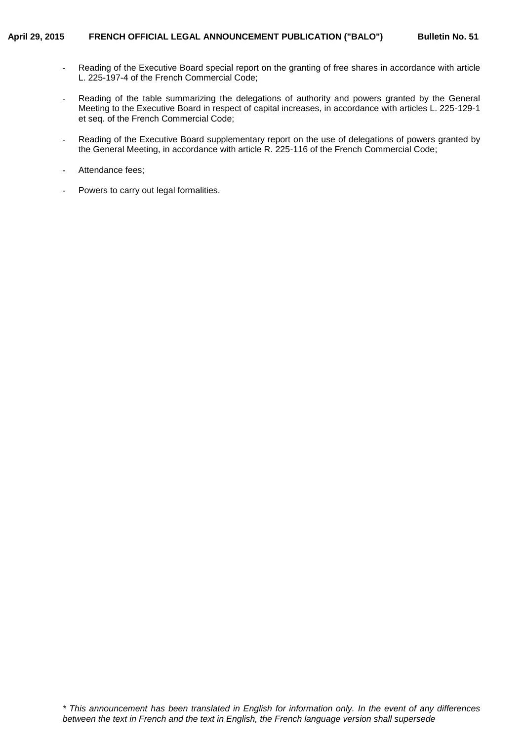- Reading of the Executive Board special report on the granting of free shares in accordance with article L. 225-197-4 of the French Commercial Code;
- Reading of the table summarizing the delegations of authority and powers granted by the General Meeting to the Executive Board in respect of capital increases, in accordance with articles L. 225-129-1 et seq. of the French Commercial Code;
- Reading of the Executive Board supplementary report on the use of delegations of powers granted by the General Meeting, in accordance with article R. 225-116 of the French Commercial Code;
- Attendance fees;
- Powers to carry out legal formalities.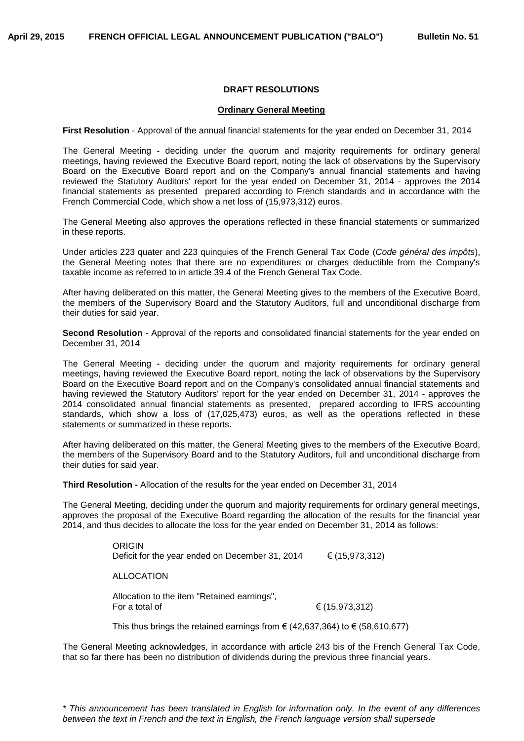# **DRAFT RESOLUTIONS**

#### **Ordinary General Meeting**

**First Resolution** - Approval of the annual financial statements for the year ended on December 31, 2014

The General Meeting - deciding under the quorum and majority requirements for ordinary general meetings, having reviewed the Executive Board report, noting the lack of observations by the Supervisory Board on the Executive Board report and on the Company's annual financial statements and having reviewed the Statutory Auditors' report for the year ended on December 31, 2014 - approves the 2014 financial statements as presented prepared according to French standards and in accordance with the French Commercial Code, which show a net loss of (15,973,312) euros.

The General Meeting also approves the operations reflected in these financial statements or summarized in these reports.

Under articles 223 quater and 223 quinquies of the French General Tax Code (*Code général des impôts*), the General Meeting notes that there are no expenditures or charges deductible from the Company's taxable income as referred to in article 39.4 of the French General Tax Code.

After having deliberated on this matter, the General Meeting gives to the members of the Executive Board, the members of the Supervisory Board and the Statutory Auditors, full and unconditional discharge from their duties for said year.

**Second Resolution** - Approval of the reports and consolidated financial statements for the year ended on December 31, 2014

The General Meeting - deciding under the quorum and majority requirements for ordinary general meetings, having reviewed the Executive Board report, noting the lack of observations by the Supervisory Board on the Executive Board report and on the Company's consolidated annual financial statements and having reviewed the Statutory Auditors' report for the year ended on December 31, 2014 - approves the 2014 consolidated annual financial statements as presented, prepared according to IFRS accounting standards, which show a loss of (17,025,473) euros, as well as the operations reflected in these statements or summarized in these reports.

After having deliberated on this matter, the General Meeting gives to the members of the Executive Board, the members of the Supervisory Board and to the Statutory Auditors, full and unconditional discharge from their duties for said year.

**Third Resolution -** Allocation of the results for the year ended on December 31, 2014

The General Meeting, deciding under the quorum and majority requirements for ordinary general meetings, approves the proposal of the Executive Board regarding the allocation of the results for the financial year 2014, and thus decides to allocate the loss for the year ended on December 31, 2014 as follows:

> ORIGIN Deficit for the year ended on December 31, 2014  $\epsilon$  (15,973,312) ALLOCATION Allocation to the item "Retained earnings", For a total of  $(15,973,312)$

This thus brings the retained earnings from  $\epsilon$  (42,637,364) to  $\epsilon$  (58,610,677)

The General Meeting acknowledges, in accordance with article 243 bis of the French General Tax Code, that so far there has been no distribution of dividends during the previous three financial years.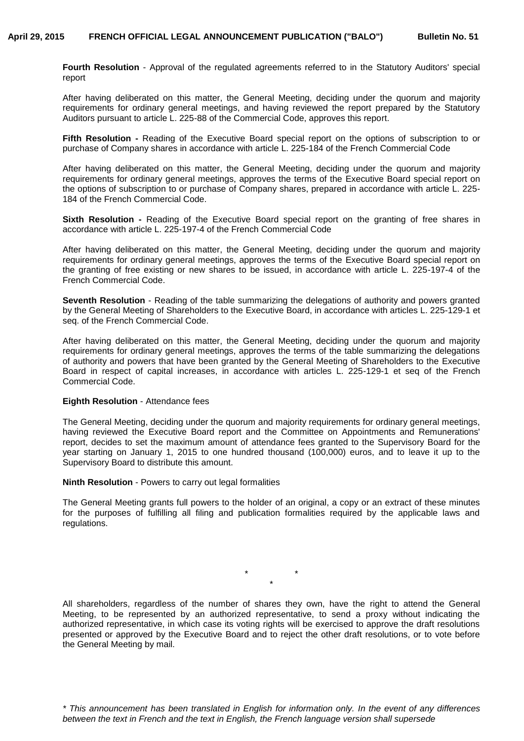**Fourth Resolution** - Approval of the regulated agreements referred to in the Statutory Auditors' special report

After having deliberated on this matter, the General Meeting, deciding under the quorum and majority requirements for ordinary general meetings, and having reviewed the report prepared by the Statutory Auditors pursuant to article L. 225-88 of the Commercial Code, approves this report.

**Fifth Resolution -** Reading of the Executive Board special report on the options of subscription to or purchase of Company shares in accordance with article L. 225-184 of the French Commercial Code

After having deliberated on this matter, the General Meeting, deciding under the quorum and majority requirements for ordinary general meetings, approves the terms of the Executive Board special report on the options of subscription to or purchase of Company shares, prepared in accordance with article L. 225- 184 of the French Commercial Code.

**Sixth Resolution -** Reading of the Executive Board special report on the granting of free shares in accordance with article L. 225-197-4 of the French Commercial Code

After having deliberated on this matter, the General Meeting, deciding under the quorum and majority requirements for ordinary general meetings, approves the terms of the Executive Board special report on the granting of free existing or new shares to be issued, in accordance with article L. 225-197-4 of the French Commercial Code.

**Seventh Resolution** - Reading of the table summarizing the delegations of authority and powers granted by the General Meeting of Shareholders to the Executive Board, in accordance with articles L. 225-129-1 et seq. of the French Commercial Code.

After having deliberated on this matter, the General Meeting, deciding under the quorum and majority requirements for ordinary general meetings, approves the terms of the table summarizing the delegations of authority and powers that have been granted by the General Meeting of Shareholders to the Executive Board in respect of capital increases, in accordance with articles L. 225-129-1 et seq of the French Commercial Code.

### **Eighth Resolution** - Attendance fees

The General Meeting, deciding under the quorum and majority requirements for ordinary general meetings, having reviewed the Executive Board report and the Committee on Appointments and Remunerations' report, decides to set the maximum amount of attendance fees granted to the Supervisory Board for the year starting on January 1, 2015 to one hundred thousand (100,000) euros, and to leave it up to the Supervisory Board to distribute this amount.

**Ninth Resolution** - Powers to carry out legal formalities

The General Meeting grants full powers to the holder of an original, a copy or an extract of these minutes for the purposes of fulfilling all filing and publication formalities required by the applicable laws and regulations.

> \* \* \*

All shareholders, regardless of the number of shares they own, have the right to attend the General Meeting, to be represented by an authorized representative, to send a proxy without indicating the authorized representative, in which case its voting rights will be exercised to approve the draft resolutions presented or approved by the Executive Board and to reject the other draft resolutions, or to vote before the General Meeting by mail.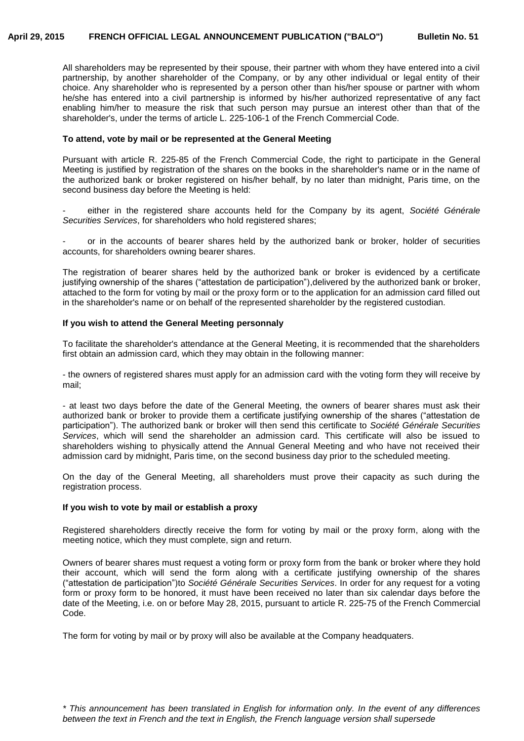All shareholders may be represented by their spouse, their partner with whom they have entered into a civil partnership, by another shareholder of the Company, or by any other individual or legal entity of their choice. Any shareholder who is represented by a person other than his/her spouse or partner with whom he/she has entered into a civil partnership is informed by his/her authorized representative of any fact enabling him/her to measure the risk that such person may pursue an interest other than that of the shareholder's, under the terms of article L. 225-106-1 of the French Commercial Code.

### **To attend, vote by mail or be represented at the General Meeting**

Pursuant with article R. 225-85 of the French Commercial Code, the right to participate in the General Meeting is justified by registration of the shares on the books in the shareholder's name or in the name of the authorized bank or broker registered on his/her behalf, by no later than midnight, Paris time, on the second business day before the Meeting is held:

- either in the registered share accounts held for the Company by its agent, *Société Générale Securities Services*, for shareholders who hold registered shares;

or in the accounts of bearer shares held by the authorized bank or broker, holder of securities accounts, for shareholders owning bearer shares.

The registration of bearer shares held by the authorized bank or broker is evidenced by a certificate justifying ownership of the shares ("attestation de participation"),delivered by the authorized bank or broker, attached to the form for voting by mail or the proxy form or to the application for an admission card filled out in the shareholder's name or on behalf of the represented shareholder by the registered custodian.

# **If you wish to attend the General Meeting personnaly**

To facilitate the shareholder's attendance at the General Meeting, it is recommended that the shareholders first obtain an admission card, which they may obtain in the following manner:

- the owners of registered shares must apply for an admission card with the voting form they will receive by mail;

- at least two days before the date of the General Meeting, the owners of bearer shares must ask their authorized bank or broker to provide them a certificate justifying ownership of the shares ("attestation de participation"). The authorized bank or broker will then send this certificate to *Société Générale Securities Services*, which will send the shareholder an admission card. This certificate will also be issued to shareholders wishing to physically attend the Annual General Meeting and who have not received their admission card by midnight, Paris time, on the second business day prior to the scheduled meeting.

On the day of the General Meeting, all shareholders must prove their capacity as such during the registration process.

# **If you wish to vote by mail or establish a proxy**

Registered shareholders directly receive the form for voting by mail or the proxy form, along with the meeting notice, which they must complete, sign and return.

Owners of bearer shares must request a voting form or proxy form from the bank or broker where they hold their account, which will send the form along with a certificate justifying ownership of the shares ("attestation de participation")to *Société Générale Securities Services*. In order for any request for a voting form or proxy form to be honored, it must have been received no later than six calendar days before the date of the Meeting, i.e. on or before May 28, 2015, pursuant to article R. 225-75 of the French Commercial Code.

The form for voting by mail or by proxy will also be available at the Company headquaters.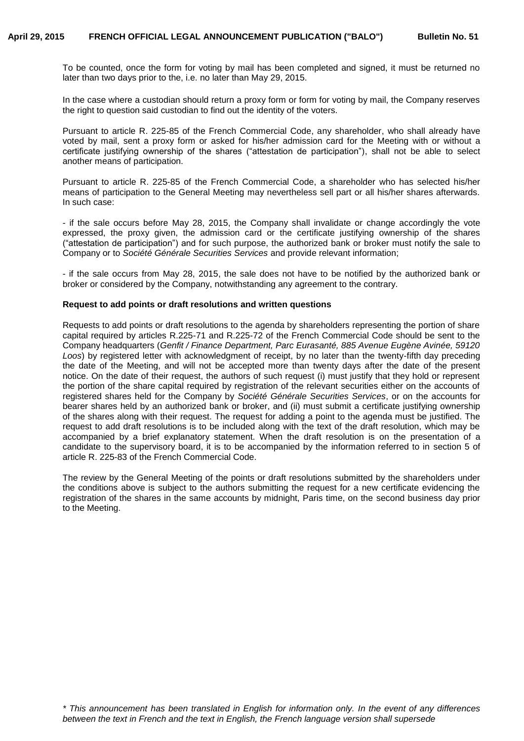To be counted, once the form for voting by mail has been completed and signed, it must be returned no later than two days prior to the, i.e. no later than May 29, 2015.

In the case where a custodian should return a proxy form or form for voting by mail, the Company reserves the right to question said custodian to find out the identity of the voters.

Pursuant to article R. 225-85 of the French Commercial Code, any shareholder, who shall already have voted by mail, sent a proxy form or asked for his/her admission card for the Meeting with or without a certificate justifying ownership of the shares ("attestation de participation"), shall not be able to select another means of participation.

Pursuant to article R. 225-85 of the French Commercial Code, a shareholder who has selected his/her means of participation to the General Meeting may nevertheless sell part or all his/her shares afterwards. In such case:

- if the sale occurs before May 28, 2015, the Company shall invalidate or change accordingly the vote expressed, the proxy given, the admission card or the certificate justifying ownership of the shares ("attestation de participation") and for such purpose, the authorized bank or broker must notify the sale to Company or to *Société Générale Securities Services* and provide relevant information;

- if the sale occurs from May 28, 2015, the sale does not have to be notified by the authorized bank or broker or considered by the Company, notwithstanding any agreement to the contrary.

#### **Request to add points or draft resolutions and written questions**

Requests to add points or draft resolutions to the agenda by shareholders representing the portion of share capital required by articles R.225-71 and R.225-72 of the French Commercial Code should be sent to the Company headquarters (*Genfit / Finance Department, Parc Eurasanté, 885 Avenue Eugène Avinée, 59120 Loos*) by registered letter with acknowledgment of receipt, by no later than the twenty-fifth day preceding the date of the Meeting, and will not be accepted more than twenty days after the date of the present notice. On the date of their request, the authors of such request (i) must justify that they hold or represent the portion of the share capital required by registration of the relevant securities either on the accounts of registered shares held for the Company by *Société Générale Securities Services*, or on the accounts for bearer shares held by an authorized bank or broker, and (ii) must submit a certificate justifying ownership of the shares along with their request. The request for adding a point to the agenda must be justified. The request to add draft resolutions is to be included along with the text of the draft resolution, which may be accompanied by a brief explanatory statement. When the draft resolution is on the presentation of a candidate to the supervisory board, it is to be accompanied by the information referred to in section 5 of article R. 225-83 of the French Commercial Code.

The review by the General Meeting of the points or draft resolutions submitted by the shareholders under the conditions above is subject to the authors submitting the request for a new certificate evidencing the registration of the shares in the same accounts by midnight, Paris time, on the second business day prior to the Meeting.